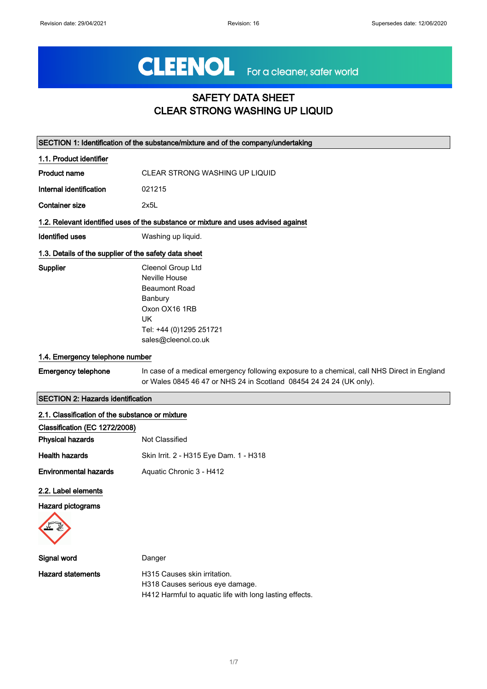# CLEENOL For a cleaner, safer world

# SAFETY DATA SHEET CLEAR STRONG WASHING UP LIQUID

|                                                       | SECTION 1: Identification of the substance/mixture and of the company/undertaking                                                                                  |
|-------------------------------------------------------|--------------------------------------------------------------------------------------------------------------------------------------------------------------------|
| 1.1. Product identifier                               |                                                                                                                                                                    |
| <b>Product name</b>                                   | CLEAR STRONG WASHING UP LIQUID                                                                                                                                     |
| Internal identification                               | 021215                                                                                                                                                             |
| <b>Container size</b>                                 | 2x5L                                                                                                                                                               |
|                                                       | 1.2. Relevant identified uses of the substance or mixture and uses advised against                                                                                 |
| <b>Identified uses</b>                                | Washing up liquid.                                                                                                                                                 |
| 1.3. Details of the supplier of the safety data sheet |                                                                                                                                                                    |
| Supplier                                              | Cleenol Group Ltd<br>Neville House<br><b>Beaumont Road</b><br>Banbury<br>Oxon OX16 1RB<br><b>UK</b><br>Tel: +44 (0)1295 251721<br>sales@cleenol.co.uk              |
| 1.4. Emergency telephone number                       |                                                                                                                                                                    |
| <b>Emergency telephone</b>                            | In case of a medical emergency following exposure to a chemical, call NHS Direct in England<br>or Wales 0845 46 47 or NHS 24 in Scotland 08454 24 24 24 (UK only). |
| <b>SECTION 2: Hazards identification</b>              |                                                                                                                                                                    |
| 2.1. Classification of the substance or mixture       |                                                                                                                                                                    |
| Classification (EC 1272/2008)                         |                                                                                                                                                                    |
| <b>Physical hazards</b>                               | Not Classified                                                                                                                                                     |
| <b>Health hazards</b>                                 | Skin Irrit. 2 - H315 Eye Dam. 1 - H318                                                                                                                             |
| <b>Environmental hazards</b>                          | Aquatic Chronic 3 - H412                                                                                                                                           |
| 2.2. Label elements<br><b>Hazard pictograms</b>       |                                                                                                                                                                    |

| Signal word       | Danger                                                  |
|-------------------|---------------------------------------------------------|
| Hazard statements | H315 Causes skin irritation.                            |
|                   | H318 Causes serious eye damage.                         |
|                   | H412 Harmful to aguatic life with long lasting effects. |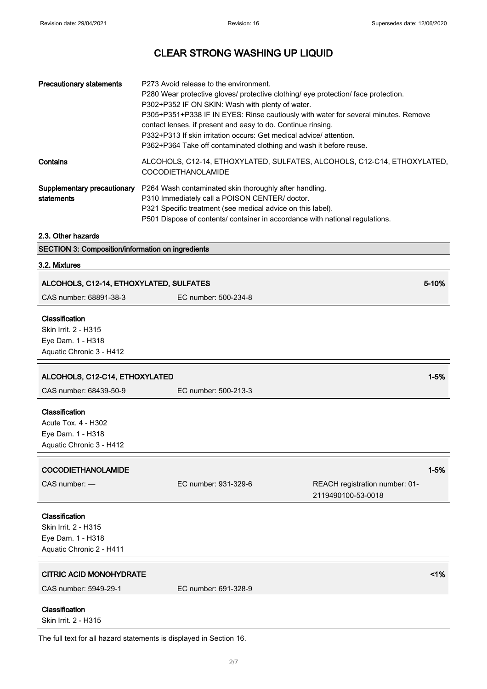| <b>Precautionary statements</b>           | P273 Avoid release to the environment.<br>P280 Wear protective gloves/ protective clothing/ eye protection/ face protection.<br>P302+P352 IF ON SKIN: Wash with plenty of water.<br>P305+P351+P338 IF IN EYES: Rinse cautiously with water for several minutes. Remove<br>contact lenses, if present and easy to do. Continue rinsing.<br>P332+P313 If skin irritation occurs: Get medical advice/ attention.<br>P362+P364 Take off contaminated clothing and wash it before reuse. |
|-------------------------------------------|-------------------------------------------------------------------------------------------------------------------------------------------------------------------------------------------------------------------------------------------------------------------------------------------------------------------------------------------------------------------------------------------------------------------------------------------------------------------------------------|
| Contains                                  | ALCOHOLS, C12-14, ETHOXYLATED, SULFATES, ALCOHOLS, C12-C14, ETHOXYLATED,<br><b>COCODIETHANOLAMIDE</b>                                                                                                                                                                                                                                                                                                                                                                               |
| Supplementary precautionary<br>statements | P264 Wash contaminated skin thoroughly after handling.<br>P310 Immediately call a POISON CENTER/ doctor.<br>P321 Specific treatment (see medical advice on this label).<br>P501 Dispose of contents/ container in accordance with national regulations.                                                                                                                                                                                                                             |

## 2.3. Other hazards

|  | <b>SECTION 3: Composition/information on ingredients</b> |  |
|--|----------------------------------------------------------|--|
|--|----------------------------------------------------------|--|

## 3.2. Mixtures

| ALCOHOLS, C12-14, ETHOXYLATED, SULFATES                                                 |                      | 5-10%                                                |          |
|-----------------------------------------------------------------------------------------|----------------------|------------------------------------------------------|----------|
| CAS number: 68891-38-3                                                                  | EC number: 500-234-8 |                                                      |          |
| Classification<br>Skin Irrit. 2 - H315<br>Eye Dam. 1 - H318<br>Aquatic Chronic 3 - H412 |                      |                                                      |          |
| ALCOHOLS, C12-C14, ETHOXYLATED                                                          |                      |                                                      | $1 - 5%$ |
| CAS number: 68439-50-9                                                                  | EC number: 500-213-3 |                                                      |          |
| Classification<br>Acute Tox. 4 - H302<br>Eye Dam. 1 - H318<br>Aquatic Chronic 3 - H412  |                      |                                                      |          |
|                                                                                         |                      |                                                      |          |
| <b>COCODIETHANOLAMIDE</b>                                                               |                      |                                                      | $1 - 5%$ |
| CAS number: -                                                                           | EC number: 931-329-6 | REACH registration number: 01-<br>2119490100-53-0018 |          |
| Classification<br>Skin Irrit. 2 - H315<br>Eye Dam. 1 - H318<br>Aquatic Chronic 2 - H411 |                      |                                                      |          |
| <b>CITRIC ACID MONOHYDRATE</b>                                                          |                      |                                                      | 1%       |
| CAS number: 5949-29-1                                                                   | EC number: 691-328-9 |                                                      |          |

The full text for all hazard statements is displayed in Section 16.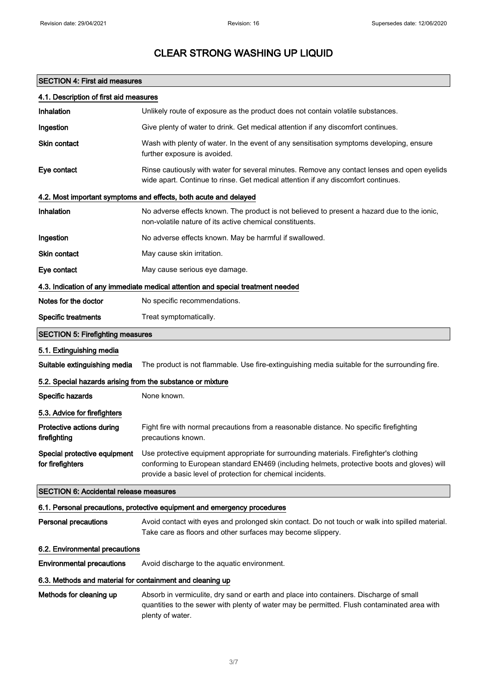## SECTION 4: First aid measures

| 4.1. Description of first aid measures                           |                                                                                                                                                                                                                                                      |  |
|------------------------------------------------------------------|------------------------------------------------------------------------------------------------------------------------------------------------------------------------------------------------------------------------------------------------------|--|
| Inhalation                                                       | Unlikely route of exposure as the product does not contain volatile substances.                                                                                                                                                                      |  |
| Ingestion                                                        | Give plenty of water to drink. Get medical attention if any discomfort continues.                                                                                                                                                                    |  |
| Skin contact                                                     | Wash with plenty of water. In the event of any sensitisation symptoms developing, ensure<br>further exposure is avoided.                                                                                                                             |  |
| Eye contact                                                      | Rinse cautiously with water for several minutes. Remove any contact lenses and open eyelids<br>wide apart. Continue to rinse. Get medical attention if any discomfort continues.                                                                     |  |
| 4.2. Most important symptoms and effects, both acute and delayed |                                                                                                                                                                                                                                                      |  |
| Inhalation                                                       | No adverse effects known. The product is not believed to present a hazard due to the ionic,<br>non-volatile nature of its active chemical constituents.                                                                                              |  |
| Ingestion                                                        | No adverse effects known. May be harmful if swallowed.                                                                                                                                                                                               |  |
| Skin contact                                                     | May cause skin irritation.                                                                                                                                                                                                                           |  |
| Eye contact                                                      | May cause serious eye damage.                                                                                                                                                                                                                        |  |
|                                                                  | 4.3. Indication of any immediate medical attention and special treatment needed                                                                                                                                                                      |  |
| Notes for the doctor                                             | No specific recommendations.                                                                                                                                                                                                                         |  |
| <b>Specific treatments</b>                                       | Treat symptomatically.                                                                                                                                                                                                                               |  |
| <b>SECTION 5: Firefighting measures</b>                          |                                                                                                                                                                                                                                                      |  |
| 5.1. Extinguishing media                                         |                                                                                                                                                                                                                                                      |  |
| Suitable extinguishing media                                     | The product is not flammable. Use fire-extinguishing media suitable for the surrounding fire.                                                                                                                                                        |  |
| 5.2. Special hazards arising from the substance or mixture       |                                                                                                                                                                                                                                                      |  |
| Specific hazards                                                 | None known.                                                                                                                                                                                                                                          |  |
| 5.3. Advice for firefighters                                     |                                                                                                                                                                                                                                                      |  |
| Protective actions during<br>firefighting                        | Fight fire with normal precautions from a reasonable distance. No specific firefighting<br>precautions known.                                                                                                                                        |  |
| Special protective equipment<br>for firefighters                 | Use protective equipment appropriate for surrounding materials. Firefighter's clothing<br>conforming to European standard EN469 (including helmets, protective boots and gloves) will<br>provide a basic level of protection for chemical incidents. |  |
| <b>SECTION 6: Accidental release measures</b>                    |                                                                                                                                                                                                                                                      |  |
|                                                                  | 6.1. Personal precautions, protective equipment and emergency procedures                                                                                                                                                                             |  |
| <b>Personal precautions</b>                                      | Avoid contact with eyes and prolonged skin contact. Do not touch or walk into spilled material.<br>Take care as floors and other surfaces may become slippery.                                                                                       |  |
| 6.2. Environmental precautions                                   |                                                                                                                                                                                                                                                      |  |
| <b>Environmental precautions</b>                                 | Avoid discharge to the aquatic environment.                                                                                                                                                                                                          |  |
| 6.3. Methods and material for containment and cleaning up        |                                                                                                                                                                                                                                                      |  |
| Methods for cleaning up                                          | Absorb in vermiculite, dry sand or earth and place into containers. Discharge of small<br>quantities to the sewer with plenty of water may be permitted. Flush contaminated area with<br>plenty of water.                                            |  |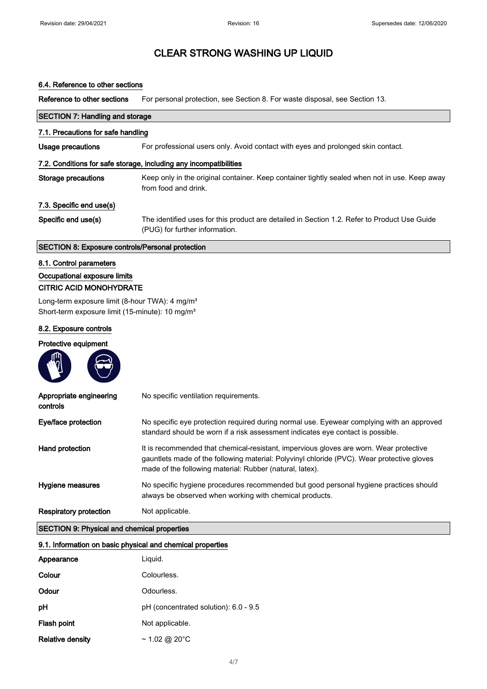## 6.4. Reference to other sections

Reference to other sections For personal protection, see Section 8. For waste disposal, see Section 13.

| <b>SECTION 7: Handling and storage</b><br>7.1. Precautions for safe handling |                                                                                                                                |  |
|------------------------------------------------------------------------------|--------------------------------------------------------------------------------------------------------------------------------|--|
|                                                                              |                                                                                                                                |  |
| 7.2. Conditions for safe storage, including any incompatibilities            |                                                                                                                                |  |
| Storage precautions                                                          | Keep only in the original container. Keep container tightly sealed when not in use. Keep away<br>from food and drink.          |  |
| 7.3. Specific end use(s)                                                     |                                                                                                                                |  |
| Specific end use(s)                                                          | The identified uses for this product are detailed in Section 1.2. Refer to Product Use Guide<br>(PUG) for further information. |  |

## SECTION 8: Exposure controls/Personal protection

#### 8.1. Control parameters

## Occupational exposure limits CITRIC ACID MONOHYDRATE

**Contract Contract Contract** 

Long-term exposure limit (8-hour TWA): 4 mg/m<sup>3</sup> Short-term exposure limit (15-minute): 10 mg/m<sup>3</sup>

## 8.2. Exposure controls

#### Protective equipment

 $m$ 

| Appropriate engineering<br>controls | No specific ventilation requirements.                                                                                                                                                                                                            |
|-------------------------------------|--------------------------------------------------------------------------------------------------------------------------------------------------------------------------------------------------------------------------------------------------|
| Eye/face protection                 | No specific eye protection required during normal use. Eyewear complying with an approved<br>standard should be worn if a risk assessment indicates eye contact is possible.                                                                     |
| Hand protection                     | It is recommended that chemical-resistant, impervious gloves are worn. Wear protective<br>gauntlets made of the following material: Polyvinyl chloride (PVC). Wear protective gloves<br>made of the following material: Rubber (natural, latex). |
| Hygiene measures                    | No specific hygiene procedures recommended but good personal hygiene practices should<br>always be observed when working with chemical products.                                                                                                 |
| <b>Respiratory protection</b>       | Not applicable.                                                                                                                                                                                                                                  |

## SECTION 9: Physical and chemical properties

| 9.1. Information on basic physical and chemical properties |                                       |
|------------------------------------------------------------|---------------------------------------|
| Appearance                                                 | Liguid.                               |
| Colour                                                     | Colourless.                           |
| Odour                                                      | Odourless.                            |
| рH                                                         | pH (concentrated solution): 6.0 - 9.5 |
| Flash point                                                | Not applicable.                       |
| <b>Relative density</b>                                    | $\sim$ 1.02 @ 20°C                    |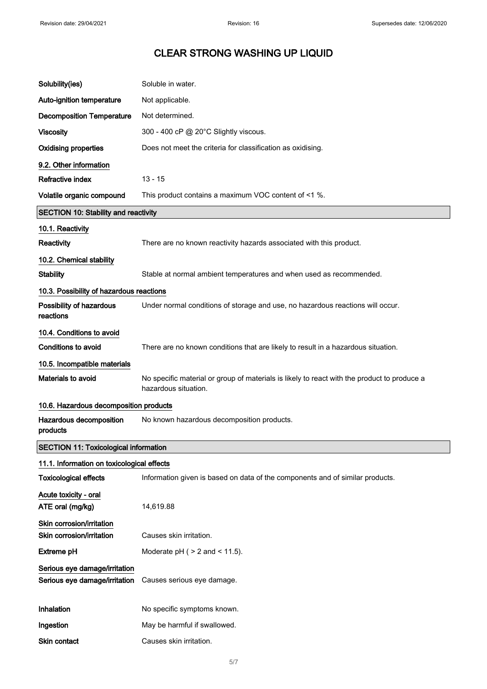| Solubility(ies)                                                | Soluble in water.                                                                                                   |
|----------------------------------------------------------------|---------------------------------------------------------------------------------------------------------------------|
| Auto-ignition temperature                                      | Not applicable.                                                                                                     |
| <b>Decomposition Temperature</b>                               | Not determined.                                                                                                     |
| <b>Viscosity</b>                                               | 300 - 400 cP @ 20°C Slightly viscous.                                                                               |
| <b>Oxidising properties</b>                                    | Does not meet the criteria for classification as oxidising.                                                         |
| 9.2. Other information                                         |                                                                                                                     |
| Refractive index                                               | $13 - 15$                                                                                                           |
| Volatile organic compound                                      | This product contains a maximum VOC content of <1 %.                                                                |
| <b>SECTION 10: Stability and reactivity</b>                    |                                                                                                                     |
| 10.1. Reactivity                                               |                                                                                                                     |
| Reactivity                                                     | There are no known reactivity hazards associated with this product.                                                 |
| 10.2. Chemical stability                                       |                                                                                                                     |
| <b>Stability</b>                                               | Stable at normal ambient temperatures and when used as recommended.                                                 |
| 10.3. Possibility of hazardous reactions                       |                                                                                                                     |
| Possibility of hazardous<br>reactions                          | Under normal conditions of storage and use, no hazardous reactions will occur.                                      |
| 10.4. Conditions to avoid                                      |                                                                                                                     |
| <b>Conditions to avoid</b>                                     | There are no known conditions that are likely to result in a hazardous situation.                                   |
| 10.5. Incompatible materials                                   |                                                                                                                     |
| Materials to avoid                                             | No specific material or group of materials is likely to react with the product to produce a<br>hazardous situation. |
| 10.6. Hazardous decomposition products                         |                                                                                                                     |
| Hazardous decomposition<br>products                            | No known hazardous decomposition products.                                                                          |
| <b>SECTION 11: Toxicological information</b>                   |                                                                                                                     |
| 11.1. Information on toxicological effects                     |                                                                                                                     |
| <b>Toxicological effects</b>                                   | Information given is based on data of the components and of similar products.                                       |
| Acute toxicity - oral<br>ATE oral (mg/kg)                      | 14,619.88                                                                                                           |
| Skin corrosion/irritation<br>Skin corrosion/irritation         | Causes skin irritation.                                                                                             |
| <b>Extreme pH</b>                                              | Moderate $pH$ ( $> 2$ and $< 11.5$ ).                                                                               |
| Serious eye damage/irritation<br>Serious eye damage/irritation | Causes serious eye damage.                                                                                          |
| Inhalation                                                     | No specific symptoms known.                                                                                         |
| Ingestion                                                      | May be harmful if swallowed.                                                                                        |
| Skin contact                                                   | Causes skin irritation.                                                                                             |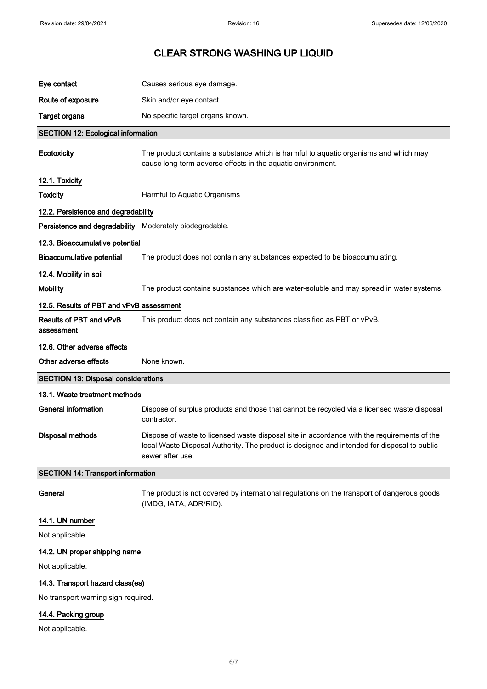| Eye contact                                             | Causes serious eye damage.                                                                                                                                                                                     |  |
|---------------------------------------------------------|----------------------------------------------------------------------------------------------------------------------------------------------------------------------------------------------------------------|--|
| Route of exposure                                       | Skin and/or eye contact                                                                                                                                                                                        |  |
| <b>Target organs</b>                                    | No specific target organs known.                                                                                                                                                                               |  |
| <b>SECTION 12: Ecological information</b>               |                                                                                                                                                                                                                |  |
| Ecotoxicity                                             | The product contains a substance which is harmful to aquatic organisms and which may<br>cause long-term adverse effects in the aquatic environment.                                                            |  |
| 12.1. Toxicity                                          |                                                                                                                                                                                                                |  |
| <b>Toxicity</b>                                         | Harmful to Aquatic Organisms                                                                                                                                                                                   |  |
| 12.2. Persistence and degradability                     |                                                                                                                                                                                                                |  |
| Persistence and degradability Moderately biodegradable. |                                                                                                                                                                                                                |  |
| 12.3. Bioaccumulative potential                         |                                                                                                                                                                                                                |  |
| <b>Bioaccumulative potential</b>                        | The product does not contain any substances expected to be bioaccumulating.                                                                                                                                    |  |
| 12.4. Mobility in soil                                  |                                                                                                                                                                                                                |  |
| <b>Mobility</b>                                         | The product contains substances which are water-soluble and may spread in water systems.                                                                                                                       |  |
| 12.5. Results of PBT and vPvB assessment                |                                                                                                                                                                                                                |  |
| <b>Results of PBT and vPvB</b><br>assessment            | This product does not contain any substances classified as PBT or vPvB.                                                                                                                                        |  |
| 12.6. Other adverse effects                             |                                                                                                                                                                                                                |  |
|                                                         |                                                                                                                                                                                                                |  |
| Other adverse effects                                   | None known.                                                                                                                                                                                                    |  |
| <b>SECTION 13: Disposal considerations</b>              |                                                                                                                                                                                                                |  |
| 13.1. Waste treatment methods                           |                                                                                                                                                                                                                |  |
| <b>General information</b>                              | Dispose of surplus products and those that cannot be recycled via a licensed waste disposal<br>contractor.                                                                                                     |  |
| <b>Disposal methods</b>                                 | Dispose of waste to licensed waste disposal site in accordance with the requirements of the<br>local Waste Disposal Authority. The product is designed and intended for disposal to public<br>sewer after use. |  |
| <b>SECTION 14: Transport information</b>                |                                                                                                                                                                                                                |  |
| General                                                 | The product is not covered by international regulations on the transport of dangerous goods<br>(IMDG, IATA, ADR/RID).                                                                                          |  |
| 14.1. UN number                                         |                                                                                                                                                                                                                |  |
| Not applicable.                                         |                                                                                                                                                                                                                |  |
| 14.2. UN proper shipping name                           |                                                                                                                                                                                                                |  |
| Not applicable.                                         |                                                                                                                                                                                                                |  |
| 14.3. Transport hazard class(es)                        |                                                                                                                                                                                                                |  |
| No transport warning sign required.                     |                                                                                                                                                                                                                |  |

Not applicable.